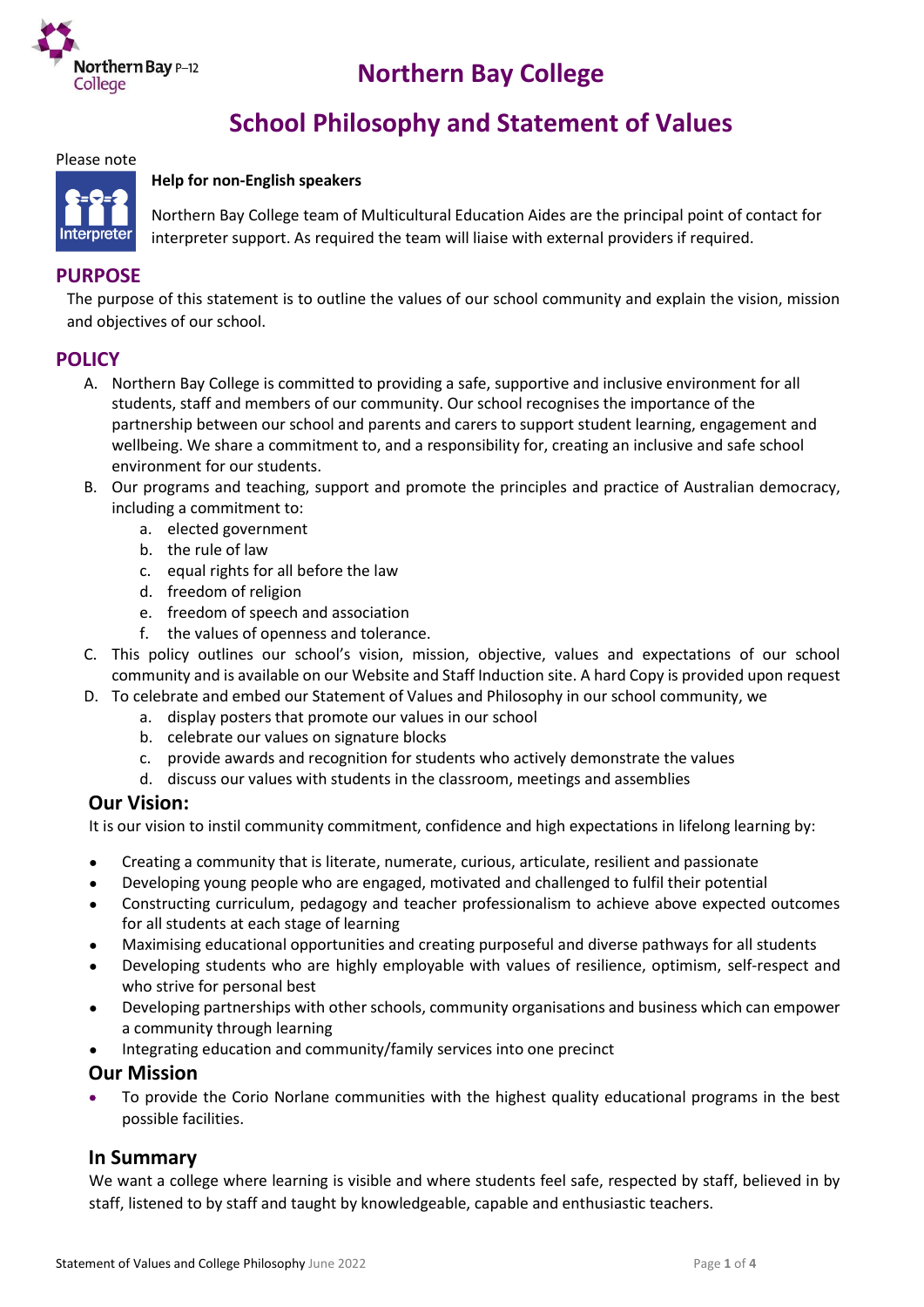

# **Northern Bay College**

# **School Philosophy and Statement of Values**

Please note

#### **Help for non-English speakers**



Northern Bay College team of Multicultural Education Aides are the principal point of contact for interpreter support. As required the team will liaise with external providers if required.

# **PURPOSE**

The purpose of this statement is to outline the values of our school community and explain the vision, mission and objectives of our school.

## **POLICY**

- A. Northern Bay College is committed to providing a safe, supportive and inclusive environment for all students, staff and members of our community. Our school recognises the importance of the partnership between our school and parents and carers to support student learning, engagement and wellbeing. We share a commitment to, and a responsibility for, creating an inclusive and safe school environment for our students.
- B. Our programs and teaching, support and promote the principles and practice of Australian democracy, including a commitment to:
	- a. elected government
	- b. the rule of law
	- c. equal rights for all before the law
	- d. freedom of religion
	- e. freedom of speech and association
	- f. the values of openness and tolerance.
- C. This policy outlines our school's vision, mission, objective, values and expectations of our school community and is available on our Website and Staff Induction site. A hard Copy is provided upon request
- D. To celebrate and embed our Statement of Values and Philosophy in our school community, we
	- a. display posters that promote our values in our school
	- b. celebrate our values on signature blocks
	- c. provide awards and recognition for students who actively demonstrate the values
	- d. discuss our values with students in the classroom, meetings and assemblies

## **Our Vision:**

It is our vision to instil community commitment, confidence and high expectations in lifelong learning by:

- Creating a community that is literate, numerate, curious, articulate, resilient and passionate
- Developing young people who are engaged, motivated and challenged to fulfil their potential
- Constructing curriculum, pedagogy and teacher professionalism to achieve above expected outcomes for all students at each stage of learning
- Maximising educational opportunities and creating purposeful and diverse pathways for all students
- Developing students who are highly employable with values of resilience, optimism, self-respect and who strive for personal best
- Developing partnerships with other schools, community organisations and business which can empower a community through learning
- Integrating education and community/family services into one precinct

## **Our Mission**

 To provide the Corio Norlane communities with the highest quality educational programs in the best possible facilities.

## **In Summary**

We want a college where learning is visible and where students feel safe, respected by staff, believed in by staff, listened to by staff and taught by knowledgeable, capable and enthusiastic teachers.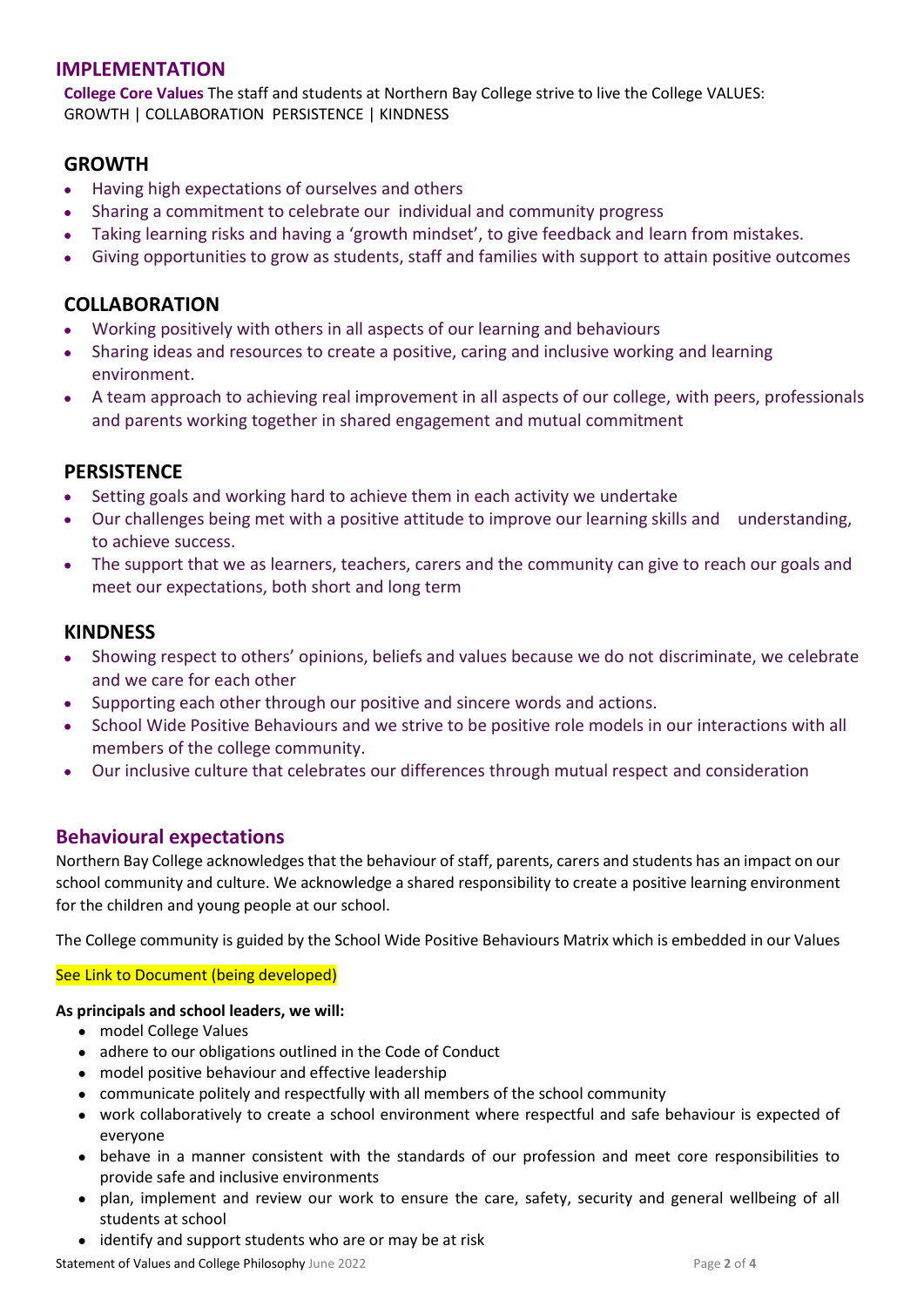## **IMPLEMENTATION**

**College Core Values** The staff and students at Northern Bay College strive to live the College VALUES: GROWTH | COLLABORATION PERSISTENCE | KINDNESS

## **GROWTH**

- Having high expectations of ourselves and others
- Sharing a commitment to celebrate our individual and community progress
- Taking learning risks and having a 'growth mindset', to give feedback and learn from mistakes.
- Giving opportunities to grow as students, staff and families with support to attain positive outcomes

## **COLLABORATION**

- Working positively with others in all aspects of our learning and behaviours
- Sharing ideas and resources to create a positive, caring and inclusive working and learning environment.
- A team approach to achieving real improvement in all aspects of our college, with peers, professionals and parents working together in shared engagement and mutual commitment

## **PERSISTENCE**

- Setting goals and working hard to achieve them in each activity we undertake
- Our challenges being met with a positive attitude to improve our learning skills and understanding, to achieve success.
- The support that we as learners, teachers, carers and the community can give to reach our goals and meet our expectations, both short and long term

## **KINDNESS**

- Showing respect to others' opinions, beliefs and values because we do not discriminate, we celebrate and we care for each other
- Supporting each other through our positive and sincere words and actions.
- School Wide Positive Behaviours and we strive to be positive role models in our interactions with all members of the college community.
- Our inclusive culture that celebrates our differences through mutual respect and consideration

## **Behavioural expectations**

Northern Bay College acknowledges that the behaviour of staff, parents, carers and students has an impact on our school community and culture. We acknowledge a shared responsibility to create a positive learning environment for the children and young people at our school.

The College community is guided by the School Wide Positive Behaviours Matrix which is embedded in our Values

#### See Link to Document (being developed)

#### **As principals and school leaders, we will:**

- model College Values
- adhere to our obligations outlined in the Code of Conduct
- model positive behaviour and effective leadership
- communicate politely and respectfully with all members of the school community
- work collaboratively to create a school environment where respectful and safe behaviour is expected of everyone
- behave in a manner consistent with the standards of our profession and meet core responsibilities to provide safe and inclusive environments
- plan, implement and review our work to ensure the care, safety, security and general wellbeing of all students at school
- identify and support students who are or may be at risk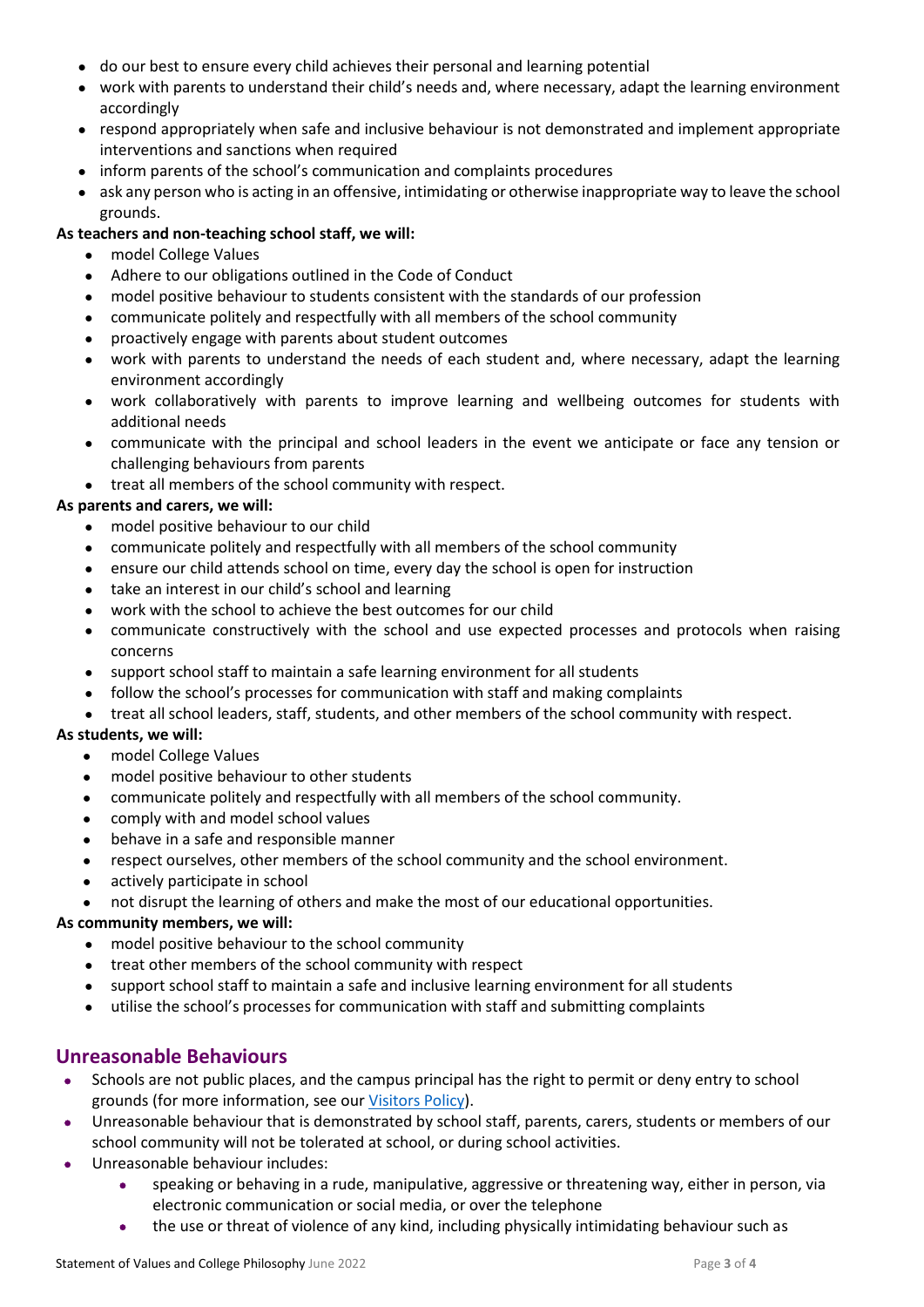- do our best to ensure every child achieves their personal and learning potential
- work with parents to understand their child's needs and, where necessary, adapt the learning environment accordingly
- respond appropriately when safe and inclusive behaviour is not demonstrated and implement appropriate interventions and sanctions when required
- inform parents of the school's communication and complaints procedures
- ask any person who is acting in an offensive, intimidating or otherwise inappropriate way to leave the school grounds.

#### **As teachers and non-teaching school staff, we will:**

- model College Values
- Adhere to our obligations outlined in the Code of Conduct
- model positive behaviour to students consistent with the standards of our profession
- communicate politely and respectfully with all members of the school community
- proactively engage with parents about student outcomes
- work with parents to understand the needs of each student and, where necessary, adapt the learning environment accordingly
- work collaboratively with parents to improve learning and wellbeing outcomes for students with additional needs
- communicate with the principal and school leaders in the event we anticipate or face any tension or challenging behaviours from parents
- treat all members of the school community with respect.

#### **As parents and carers, we will:**

- model positive behaviour to our child
- communicate politely and respectfully with all members of the school community
- ensure our child attends school on time, every day the school is open for instruction
- take an interest in our child's school and learning
- work with the school to achieve the best outcomes for our child
- communicate constructively with the school and use expected processes and protocols when raising concerns
- support school staff to maintain a safe learning environment for all students
- follow the school's processes for communication with staff and making complaints
- treat all school leaders, staff, students, and other members of the school community with respect.

#### **As students, we will:**

- model College Values
- model positive behaviour to other students
- communicate politely and respectfully with all members of the school community.
- comply with and model school values
- behave in a safe and responsible manner
- respect ourselves, other members of the school community and the school environment.
- actively participate in school
- not disrupt the learning of others and make the most of our educational opportunities.

#### **As community members, we will:**

- model positive behaviour to the school community
- treat other members of the school community with respect
- support school staff to maintain a safe and inclusive learning environment for all students
- utilise the school's processes for communication with staff and submitting complaints

## **Unreasonable Behaviours**

- Schools are not public places, and the campus principal has the right to permit or deny entry to school grounds (for more information, see ou[r Visitors Policy\)](https://www.nbc.vic.edu.au/uploads/Visitors-Policy-det-MODEL-NBC016.pdf).
- Unreasonable behaviour that is demonstrated by school staff, parents, carers, students or members of our school community will not be tolerated at school, or during school activities.
- Unreasonable behaviour includes:
	- speaking or behaving in a rude, manipulative, aggressive or threatening way, either in person, via electronic communication or social media, or over the telephone
	- the use or threat of violence of any kind, including physically intimidating behaviour such as